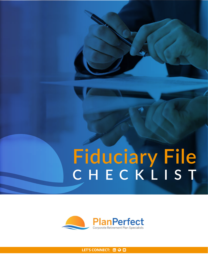# **CHECKLIST Fiduciary File**



LET'SCONNECT: **b**  $\odot$  **e**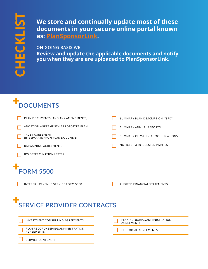**We store and continually update most of these documents in your secure online portal known as: [PlanSponsorLink](https://plansponsorlink.com/planperfectretirement/).** 

#### **ON GOING BASIS WE**

**Review and update the applicable documents and notify you when they are are uploaded to PlanSponsorLink.**

## **DOCUMENTS**

| PLAN DOCUMENTS (AND ANY AMENDMENTS)                        | SUMMARY PLAN DESCRIPTION ("SPD")                   |
|------------------------------------------------------------|----------------------------------------------------|
| ADOPTION AGREEMENT (IF PROTOTYPE PLAN)                     | <b>SUMMARY ANNUAL REPORTS</b>                      |
| <b>TRUST AGREEMENT</b><br>(IF SEPARATE FROM PLAN DOCUMENT) | SUMMARY OF MATERIAL MODIFICATIONS                  |
| <b>BARGAINING AGREEMENTS</b>                               | NOTICES TO INTERESTED PARTIES                      |
| IRS DETERMINATION LETTER                                   |                                                    |
| <b>FORM 5500</b>                                           |                                                    |
| <b>INTERNAL REVENUE SERVICE FORM 5500</b>                  | AUDITED FINANCIAL STATEMENTS                       |
| <b>SERVICE PROVIDER CONTRACTS</b>                          |                                                    |
| <b>INVESTMENT CONSULTING AGREEMENTS</b>                    | PLAN ACTUARIAL/ADMINISTRATION<br><b>AGREEMENTS</b> |
| PLAN RECORDKEEPING/ADMINISTRATION<br><b>AGREEMENTS</b>     | <b>CUSTODIAL AGREEMENTS</b>                        |
| <b>SERVICE CONTRACTS</b>                                   |                                                    |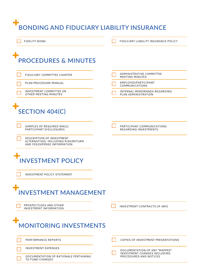## **BONDING AND FIDUCIARY LIABILITY INSURANCE**

**FIDELITY BOND** 

FIDUCIARY LIABILITY INSURANCE POLICY

### ╉ **PROCEDURES & MINUTES**

| FIDUCIARY COMMITTEE CHARTER                                                                            | ADMINISTRATIVE COMMITTEE<br><b>MEETING MINUTES</b>     |
|--------------------------------------------------------------------------------------------------------|--------------------------------------------------------|
| PLAN PROCEDURE MANUAL                                                                                  | EMPLOYEE/PARTICIPANT<br><b>COMMUNICATIONS</b>          |
| INVESTMENT COMMITTEE OR<br>OTHER MEETING MINUTES                                                       | INTERNAL MEMORANDA REGARDING<br>PLAN ADMINISTRATION    |
| <b>SECTION 404(C)</b>                                                                                  |                                                        |
| SAMPLES OF REQUIRED 404(C)<br>PARTICIPANT DISCLOSURES                                                  | PARTICIPANT COMMUNICATIONS<br>REGARDING INVESTMENTS    |
| <b>DESCRIPTION OF INVESTMENT</b><br>ALTERNATIVES, INCLUDING RISK/RETURN<br>AND FEE/EXPENSE INFORMATION |                                                        |
| <b>INVESTMENT POLICY</b><br><b>INVESTMENT POLICY STATEMENT</b>                                         |                                                        |
| <b>INVESTMENT MANAGEMENT</b>                                                                           |                                                        |
| PROSPECTUSES AND OTHER<br><b>INVESTMENT INFORMATION</b>                                                | INVESTMENT CONTRACTS (IF ANY)                          |
| <b>MONITORING INVESTMENTS</b>                                                                          |                                                        |
| PERFORMANCE REPORTS                                                                                    | <b>COPIES OF INVESTMENT PRESENTATIONS</b>              |
| <b>INVESTMENT EXPENSES</b>                                                                             | DOCUMENTATION OF ANY "MAPPED"                          |
| DOCUMENTATION OF RATIONALE PERTAINING<br>TO FUND CHANGES                                               | INVESTMENT CHANGES INCLUDING<br>PROCEDURES AND NOTICES |